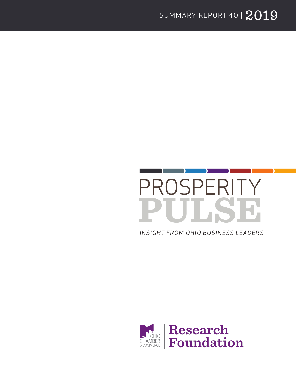

*INSIGHT FROM OHIO BUSINESS LEADERS*

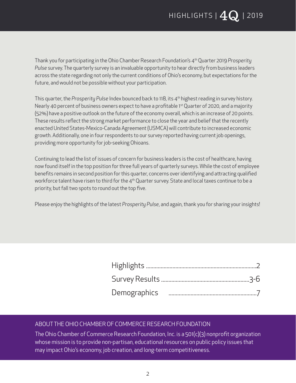Thank you for participating in the Ohio Chamber Research Foundation's 4th Quarter 2019 *Prosperity Pulse* survey. The quarterly survey is an invaluable opportunity to hear directly from business leaders across the state regarding not only the current conditions of Ohio's economy, but expectations for the future, and would not be possible without your participation.

This quarter, the *Prosperity Pulse* Index bounced back to 118, its 4th highest reading in survey history. Nearly 40 percent of business owners expect to have a profitable 1<sup>st</sup> Quarter of 2020, and a majority (52%) have a positive outlook on the future of the economy overall, which is an increase of 20 points. These results reflect the strong market performance to close the year and belief that the recently enacted United States-Mexico-Canada Agreement (USMCA) will contribute to increased economic growth. Additionally, one in four respondents to our survey reported having current job openings, providing more opportunity for job-seeking Ohioans.

Continuing to lead the list of issues of concern for business leaders is the cost of healthcare, having now found itself in the top position for three full years of quarterly surveys. While the cost of employee benefits remains in second position for this quarter, concerns over identifying and attracting qualified workforce talent have risen to third for the  $4<sup>th</sup>$  Quarter survey. State and local taxes continue to be a priority, but fall two spots to round out the top five.

Please enjoy the highlights of the latest *Prosperity Pulse*, and again, thank you for sharing your insights!

#### ABOUT THE OHIO CHAMBER OF COMMERCE RESEARCH FOUNDATION

The Ohio Chamber of Commerce Research Foundation, Inc. is a 501(c)(3) nonprofit organization whose mission is to provide non-partisan, educational resources on public policy issues that may impact Ohio's economy, job creation, and long-term competitiveness.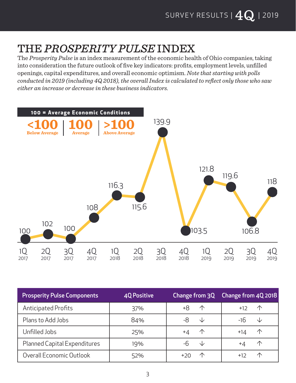## THE *PROSPERITY PULSE* INDEX

The *Prosperity Pulse* is an index measurement of the economic health of Ohio companies, taking into consideration the future outlook of five key indicators: profits, employment levels, unfilled openings, capital expenditures, and overall economic optimism. *Note that starting with polls conducted in 2019 (including 4Q 2018), the overall Index is calculated to reflect only those who saw either an increase or decrease in these business indicators.*



| <b>Prosperity Pulse Components</b> | <b>40 Positive</b> | <b>Change from 3Q</b> | Change from 4Q 2018 |
|------------------------------------|--------------------|-----------------------|---------------------|
| <b>Anticipated Profits</b>         | 37%                | 个                     | $+12$<br><b>17</b>  |
| Plans to Add Jobs                  | 84%                | -8<br>╰┸              | -16                 |
| Unfilled Jobs                      | 25%                | 个<br>+4               | +14                 |
| Planned Capital Expenditures       | 19%                | -h<br>NZ.             | +4                  |
| Overall Economic Outlook           | 52%                |                       | +12                 |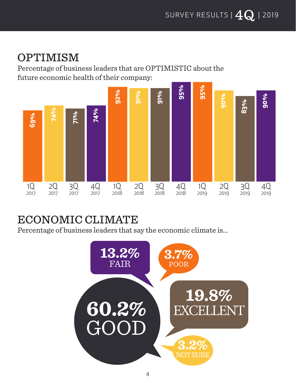#### OPTIMISM

Percentage of business leaders that are OPTIMISTIC about the future economic health of their company:



## ECONOMIC CLIMATE

Percentage of business leaders that say the economic climate is…

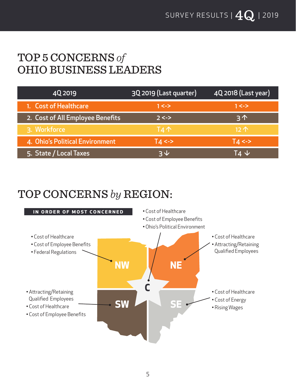#### TOP 5 CONCERNS *of* OHIO BUSINESS LEADERS

| 4Q 2019                          | 3Q 2019 (Last quarter) | 4Q 2018 (Last year) |
|----------------------------------|------------------------|---------------------|
| 1. Cost of Healthcare            | $1 < ->$               | $1 < ->$            |
| 2. Cost of All Employee Benefits | $2 < ->$               | $3^{\prime}$        |
| 3. Workforce                     | $TA \wedge$            | $12^$               |
| 4. Ohio's Political Environment  | $T_{4}$ <->            | $T_{4}$ <->         |
| 5. State / Local Taxes           | っし                     | $T4 \vee$           |

## TOP CONCERNS *by* REGION:

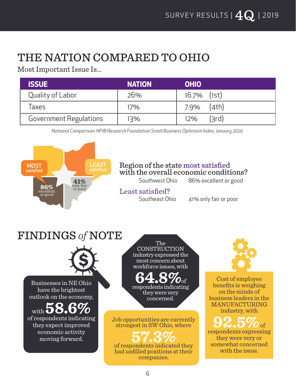## THE NATION COMPARED TO OHIO

Most Important Issue Is…

| <b>ISSUE</b>           | <b>NATION</b> | <b>OHIO</b>    |
|------------------------|---------------|----------------|
| Quality of Labor       | 26%           | $16.7\%$ (1st) |
| Taxes                  | 17%           | (4th)<br>7.9%  |
| Government Regulations | 13%           | '3rd)<br>12%   |

*National Comparison: NFIB Research Foundation Small Business Optimism Index, January 2020*

#### **86%** excellent or good **41%** only fair or poor MOST satisfied LEAST

#### Region of the state most satisfied with the overall economic conditions?

Southwest Ohio 86% excellent or good

## Least satisfied?

Southeast Ohio 41% only fair or poor

## FINDINGS *of* NOTE



Businesses in NE Ohio have the brightest outlook on the economy,

with  $\bullet$  **6.0** of respondents indicating they expect improved economic activity moving forward.

The **CONSTRUCTION** industry expressed the most concern about workforce issues, with

**64.8%**of respondents indicating they were very concerned.

Job opportunities are currently strongest in SW Ohio, where

of respondents indicated they **57.3%** had unfilled positions at their companies.



Cost of employee benefits is weighing on the minds of business leaders in the MANUFACTURING industry, with

**92.5%** of respondents expressing they were very or somewhat concerned with the issue.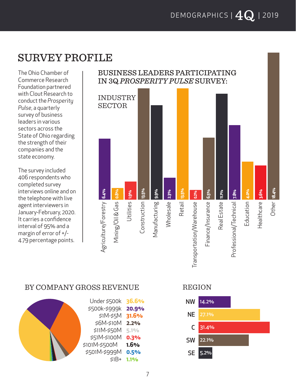#### SURVEY PROFILE

The Ohio Chamber of Commerce Research Foundation partnered with Clout Research to conduct the *Prosperity Pulse*, a quarterly survey of business leaders in various sectors across the State of Ohio regarding the strength of their companies and the state economy.

The survey included 406 respondents who completed survey interviews online and on the telephone with live agent interviewers in January-February, 2020. It carries a confidence interval of 95% and a margin of error of +/- 4.79 percentage points.

#### BUSINESS LEADERS PARTICIPATING IN 3Q *PROSPERITY PULSE* SURVEY:



#### BY COMPANY GROSS REVENUE REGION